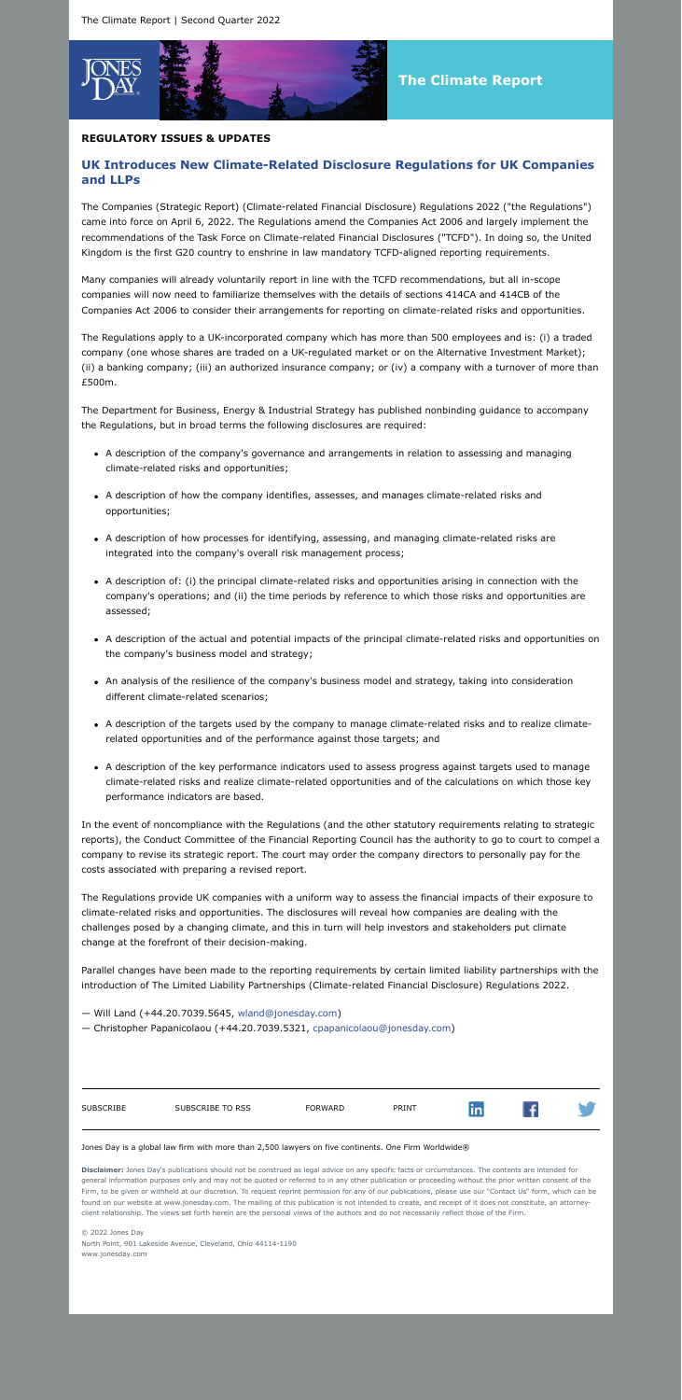

## **REGULATORY ISSUES & UPDATES**

# **UK Introduces New Climate-Related Disclosure Regulations for UK Companies and LLPs**

The Companies (Strategic Report) (Climate-related Financial Disclosure) Regulations 2022 ("the Regulations") came into force on April 6, 2022. The Regulations amend the Companies Act 2006 and largely implement the recommendations of the Task Force on Climate-related Financial Disclosures ("TCFD"). In doing so, the United Kingdom is the first G20 country to enshrine in law mandatory TCFD-aligned reporting requirements.

Many companies will already voluntarily report in line with the TCFD recommendations, but all in-scope companies will now need to familiarize themselves with the details of sections 414CA and 414CB of the Companies Act 2006 to consider their arrangements for reporting on climate-related risks and opportunities.

The Regulations apply to a UK-incorporated company which has more than 500 employees and is: (i) a traded company (one whose shares are traded on a UK-regulated market or on the Alternative Investment Market); (ii) a banking company; (iii) an authorized insurance company; or (iv) a company with a turnover of more than £500m.

The Department for Business, Energy & Industrial Strategy has published nonbinding guidance to accompany the Regulations, but in broad terms the following disclosures are required:

- A description of the company's governance and arrangements in relation to assessing and managing climate-related risks and opportunities;
- A description of how the company identifies, assesses, and manages climate-related risks and opportunities;
- A description of how processes for identifying, assessing, and managing climate-related risks are integrated into the company's overall risk management process;
- A description of: (i) the principal climate-related risks and opportunities arising in connection with the company's operations; and (ii) the time periods by reference to which those risks and opportunities are assessed;
- A description of the actual and potential impacts of the principal climate-related risks and opportunities on the company's business model and strategy;
- An analysis of the resilience of the company's business model and strategy, taking into consideration different climate-related scenarios;
- A description of the targets used by the company to manage climate-related risks and to realize climaterelated opportunities and of the performance against those targets; and
- A description of the key performance indicators used to assess progress against targets used to manage climate-related risks and realize climate-related opportunities and of the calculations on which those key performance indicators are based.

In the event of noncompliance with the Regulations (and the other statutory requirements relating to strategic reports), the Conduct Committee of the Financial Reporting Council has the authority to go to court to compel a company to revise its strategic report. The court may order the company directors to personally pay for the costs associated with preparing a revised report.

The Regulations provide UK companies with a uniform way to assess the financial impacts of their exposure to climate-related risks and opportunities. The disclosures will reveal how companies are dealing with the challenges posed by a changing climate, and this in turn will help investors and stakeholders put climate change at the forefront of their decision-making.

Parallel changes have been made to the reporting requirements by certain limited liability partnerships with the introduction of The Limited Liability Partnerships (Climate-related Financial Disclosure) Regulations 2022.

- Will Land (+44.20.7039.5645, [wland@jonesday.com\)](mailto:wland@jonesday.com)
- Christopher Papanicolaou (+44.20.7039.5321, [cpapanicolaou@jonesday.com](mailto:cpapanicolaou@jonesday.com))



#### Jones Day is a global law firm with more than 2,500 lawyers on five continents. One Firm Worldwide®

**Disclaimer:** Jones Day's publications should not be construed as legal advice on any specific facts or circumstances. The contents are intended for general information purposes only and may not be quoted or referred to in any other publication or proceeding without the prior written consent of the Firm, to be given or withheld at our discretion. To request reprint permission for any of our publications, please use our "Contact Us" form, which can be found on our website at www.jonesday.com. The mailing of this publication is not intended to create, and receipt of it does not constitute, an attorneyclient relationship. The views set forth herein are the personal views of the authors and do not necessarily reflect those of the Firm.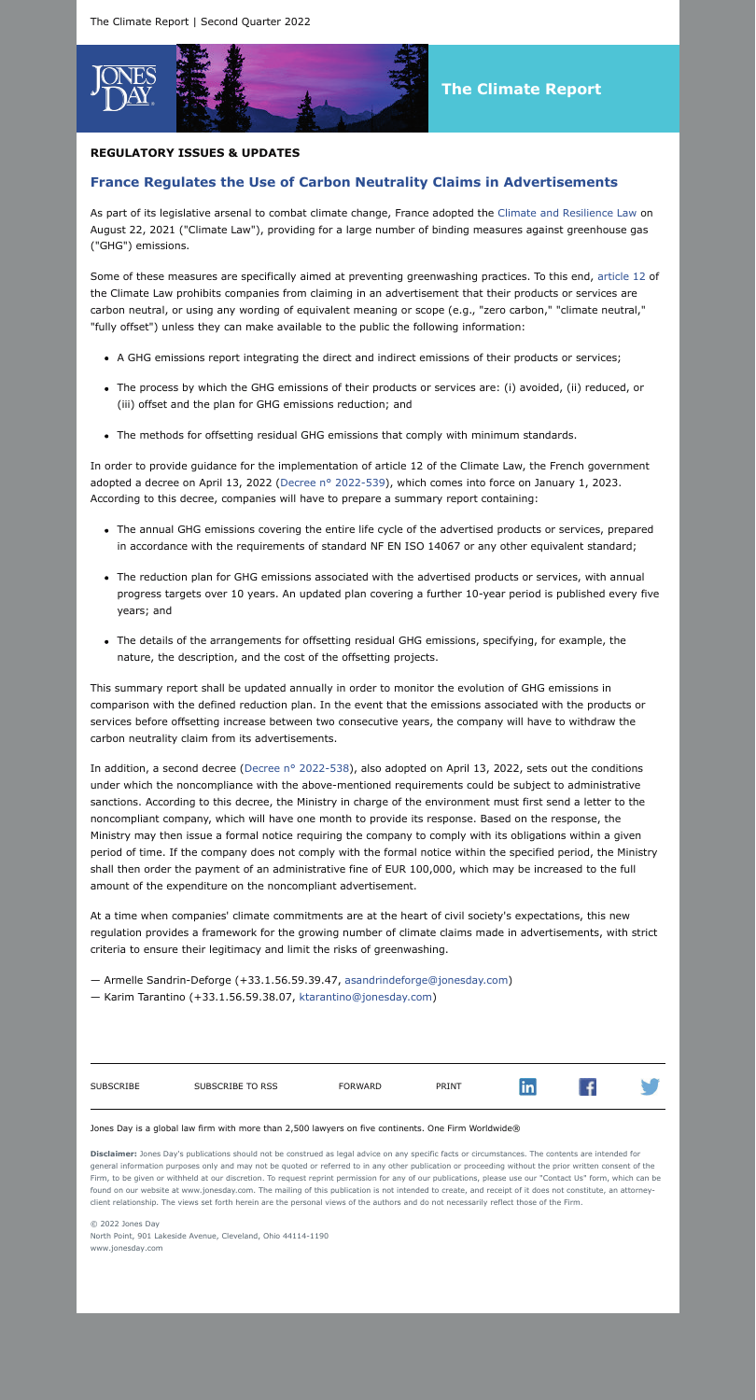

# **The Climate Report**

## **REGULATORY ISSUES & UPDATES**

# **France Regulates the Use of Carbon Neutrality Claims in Advertisements**

As part of its legislative arsenal to combat climate change, France adopted the [Climate and Resilience Law](https://www.legifrance.gouv.fr/jorf/id/JORFTEXT000043956924?ExcludePageBreak=true) on August 22, 2021 ("Climate Law"), providing for a large number of binding measures against greenhouse gas ("GHG") emissions.

Some of these measures are specifically aimed at preventing greenwashing practices. To this end, [article 12](https://www.legifrance.gouv.fr/jorf/article_jo/JORFARTI000043956989?ExcludePageBreak=true) of the Climate Law prohibits companies from claiming in an advertisement that their products or services are carbon neutral, or using any wording of equivalent meaning or scope (e.g., "zero carbon," "climate neutral," "fully offset") unless they can make available to the public the following information:

- A GHG emissions report integrating the direct and indirect emissions of their products or services;
- The process by which the GHG emissions of their products or services are: (i) avoided, (ii) reduced, or (iii) offset and the plan for GHG emissions reduction; and
- The methods for offsetting residual GHG emissions that comply with minimum standards.

In order to provide guidance for the implementation of article 12 of the Climate Law, the French government adopted a decree on April 13, 2022 ([Decree n° 2022-539](https://www.legifrance.gouv.fr/jorf/id/JORFTEXT000045570611?ExcludePageBreak=true)), which comes into force on January 1, 2023. According to this decree, companies will have to prepare a summary report containing:

In addition, a second decree (Decree nº 2022-538), also adopted on April 13, 2022, sets out the conditions under which the noncompliance with the above-mentioned requirements could be subject to administrative sanctions. According to this decree, the Ministry in charge of the environment must first send a letter to the noncompliant company, which will have one month to provide its response. Based on the response, the Ministry may then issue a formal notice requiring the company to comply with its obligations within a given period of time. If the company does not comply with the formal notice within the specified period, the Ministry shall then order the payment of an administrative fine of EUR 100,000, which may be increased to the full amount of the expenditure on the noncompliant advertisement.

- The annual GHG emissions covering the entire life cycle of the advertised products or services, prepared in accordance with the requirements of standard NF EN ISO 14067 or any other equivalent standard;
- The reduction plan for GHG emissions associated with the advertised products or services, with annual progress targets over 10 years. An updated plan covering a further 10-year period is published every five years; and
- The details of the arrangements for offsetting residual GHG emissions, specifying, for example, the nature, the description, and the cost of the offsetting projects.

This summary report shall be updated annually in order to monitor the evolution of GHG emissions in comparison with the defined reduction plan. In the event that the emissions associated with the products or services before offsetting increase between two consecutive years, the company will have to withdraw the carbon neutrality claim from its advertisements.

At a time when companies' climate commitments are at the heart of civil society's expectations, this new regulation provides a framework for the growing number of climate claims made in advertisements, with strict criteria to ensure their legitimacy and limit the risks of greenwashing.

- Armelle Sandrin-Deforge (+33.1.56.59.39.47, [asandrindeforge@jonesday.com\)](mailto:asandrindeforge@jonesday.com)
- Karim Tarantino (+33.1.56.59.38.07, [ktarantino@jonesday.com](mailto:ktarantino@jonesday.com))

in

 $\sqrt{f}$ 

#### Jones Day is a global law firm with more than 2,500 lawyers on five continents. One Firm Worldwide®

**Disclaimer:** Jones Day's publications should not be construed as legal advice on any specific facts or circumstances. The contents are intended for general information purposes only and may not be quoted or referred to in any other publication or proceeding without the prior written consent of the Firm, to be given or withheld at our discretion. To request reprint permission for any of our publications, please use our "Contact Us" form, which can be found on our website at www.jonesday.com. The mailing of this publication is not intended to create, and receipt of it does not constitute, an attorneyclient relationship. The views set forth herein are the personal views of the authors and do not necessarily reflect those of the Firm.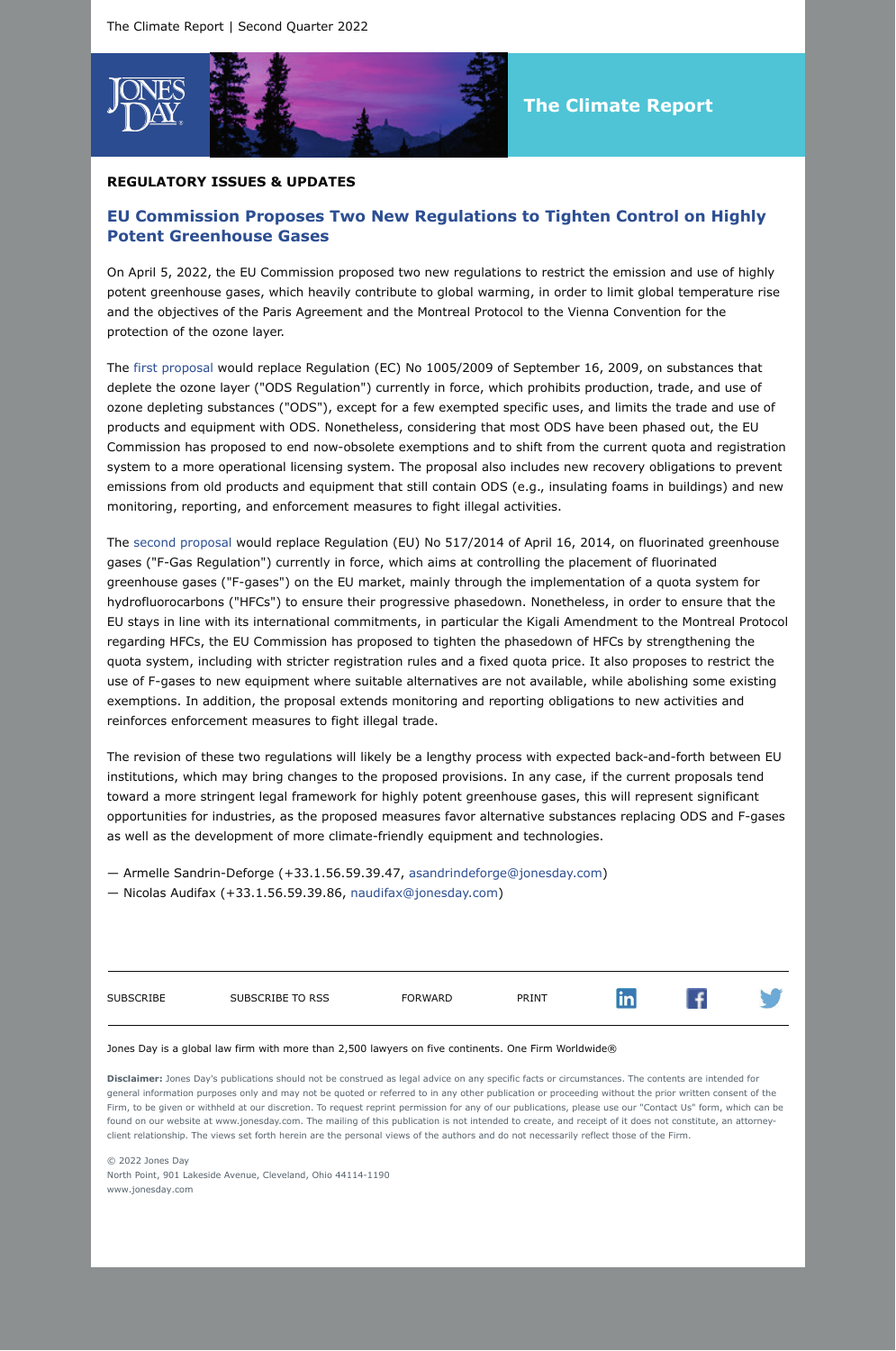

### **REGULATORY ISSUES & UPDATES**

# **EU Commission Proposes Two New Regulations to Tighten Control on Highly Potent Greenhouse Gases**

On April 5, 2022, the EU Commission proposed two new regulations to restrict the emission and use of highly potent greenhouse gases, which heavily contribute to global warming, in order to limit global temperature rise and the objectives of the Paris Agreement and the Montreal Protocol to the Vienna Convention for the protection of the ozone layer.

The [first proposal](https://ec.europa.eu/clima/system/files/2022-04/ods_proposal_en.pdf?ExcludePageBreak=true) would replace Regulation (EC) No 1005/2009 of September 16, 2009, on substances that deplete the ozone layer ("ODS Regulation") currently in force, which prohibits production, trade, and use of ozone depleting substances ("ODS"), except for a few exempted specific uses, and limits the trade and use of products and equipment with ODS. Nonetheless, considering that most ODS have been phased out, the EU Commission has proposed to end now-obsolete exemptions and to shift from the current quota and registration system to a more operational licensing system. The proposal also includes new recovery obligations to prevent emissions from old products and equipment that still contain ODS (e.g., insulating foams in buildings) and new monitoring, reporting, and enforcement measures to fight illegal activities.

The [second proposal](https://eur-lex.europa.eu/resource.html?uri=cellar:ecf2b875-b59f-11ec-b6f4-01aa75ed71a1.0001.02%2FDOC_1&format=PDF&ExcludePageBreak=true) would replace Regulation (EU) No 517/2014 of April 16, 2014, on fluorinated greenhouse gases ("F-Gas Regulation") currently in force, which aims at controlling the placement of fluorinated greenhouse gases ("F-gases") on the EU market, mainly through the implementation of a quota system for hydrofluorocarbons ("HFCs") to ensure their progressive phasedown. Nonetheless, in order to ensure that the EU stays in line with its international commitments, in particular the Kigali Amendment to the Montreal Protocol regarding HFCs, the EU Commission has proposed to tighten the phasedown of HFCs by strengthening the quota system, including with stricter registration rules and a fixed quota price. It also proposes to restrict the use of F-gases to new equipment where suitable alternatives are not available, while abolishing some existing exemptions. In addition, the proposal extends monitoring and reporting obligations to new activities and reinforces enforcement measures to fight illegal trade.

The revision of these two regulations will likely be a lengthy process with expected back-and-forth between EU institutions, which may bring changes to the proposed provisions. In any case, if the current proposals tend toward a more stringent legal framework for highly potent greenhouse gases, this will represent significant opportunities for industries, as the proposed measures favor alternative substances replacing ODS and F-gases as well as the development of more climate-friendly equipment and technologies.

— Armelle Sandrin-Deforge (+33.1.56.59.39.47, [asandrindeforge@jonesday.com\)](mailto:asandrindeforge@jonesday.com)

— Nicolas Audifax (+33.1.56.59.39.86, [naudifax@jonesday.com](mailto:naudifax@jonesday.com))

| <b>SUBSCRIBE</b> | SUBSCRIBE TO RSS | <b>FORWARD</b> | PRINT | <u>ани</u> |  |
|------------------|------------------|----------------|-------|------------|--|
|                  |                  |                |       |            |  |

### Jones Day is a global law firm with more than 2,500 lawyers on five continents. One Firm Worldwide®

**Disclaimer:** Jones Day's publications should not be construed as legal advice on any specific facts or circumstances. The contents are intended for general information purposes only and may not be quoted or referred to in any other publication or proceeding without the prior written consent of the Firm, to be given or withheld at our discretion. To request reprint permission for any of our publications, please use our "Contact Us" form, which can be found on our website at www.jonesday.com. The mailing of this publication is not intended to create, and receipt of it does not constitute, an attorneyclient relationship. The views set forth herein are the personal views of the authors and do not necessarily reflect those of the Firm.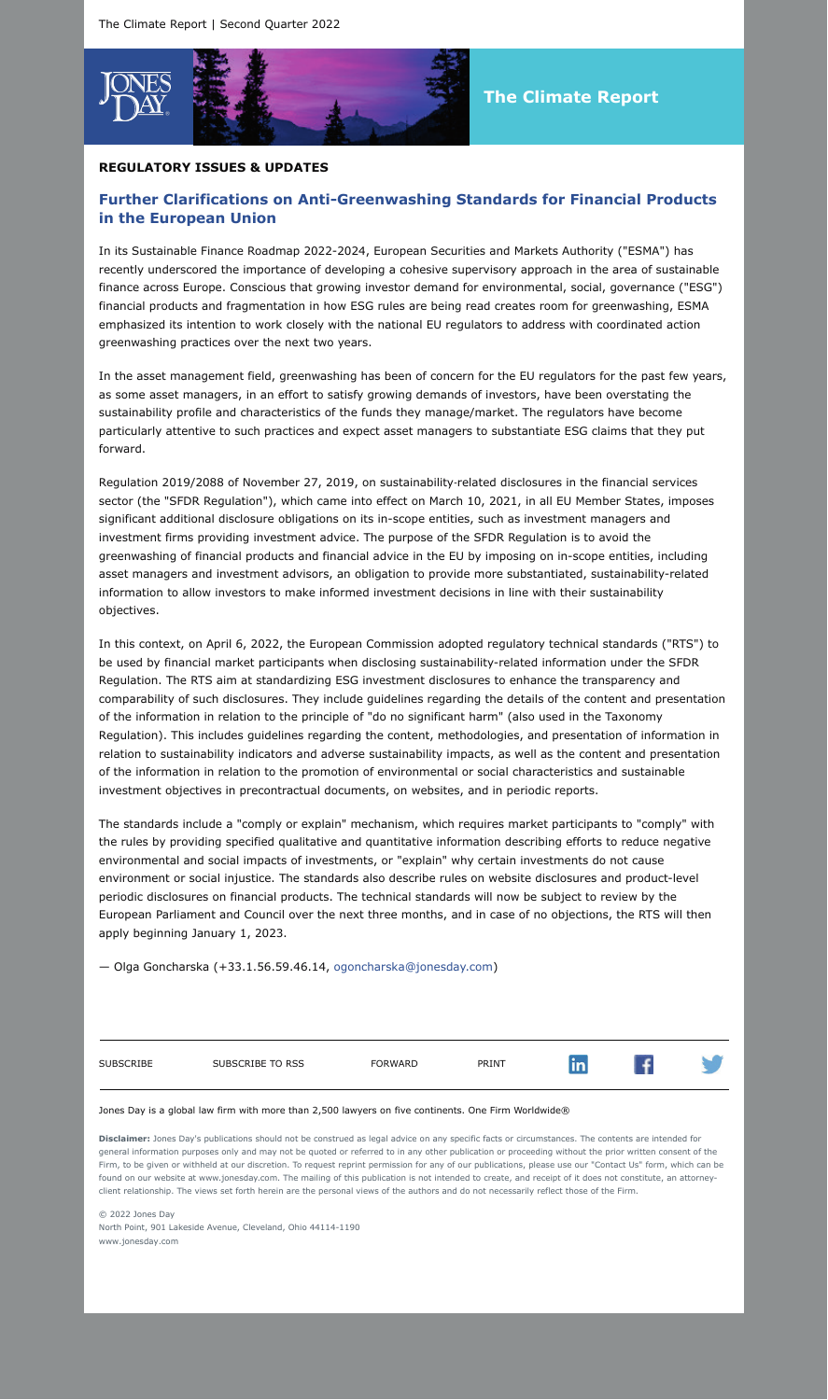

### **REGULATORY ISSUES & UPDATES**

# **Further Clarifications on Anti-Greenwashing Standards for Financial Products in the European Union**

In its Sustainable Finance Roadmap 2022-2024, European Securities and Markets Authority ("ESMA") has recently underscored the importance of developing a cohesive supervisory approach in the area of sustainable finance across Europe. Conscious that growing investor demand for environmental, social, governance ("ESG") financial products and fragmentation in how ESG rules are being read creates room for greenwashing, ESMA emphasized its intention to work closely with the national EU regulators to address with coordinated action greenwashing practices over the next two years.

In the asset management field, greenwashing has been of concern for the EU regulators for the past few years, as some asset managers, in an effort to satisfy growing demands of investors, have been overstating the sustainability profile and characteristics of the funds they manage/market. The regulators have become particularly attentive to such practices and expect asset managers to substantiate ESG claims that they put forward.

Regulation 2019/2088 of November 27, 2019, on sustainability-related disclosures in the financial services sector (the "SFDR Regulation"), which came into effect on March 10, 2021, in all EU Member States, imposes significant additional disclosure obligations on its in-scope entities, such as investment managers and investment firms providing investment advice. The purpose of the SFDR Regulation is to avoid the greenwashing of financial products and financial advice in the EU by imposing on in-scope entities, including asset managers and investment advisors, an obligation to provide more substantiated, sustainability-related information to allow investors to make informed investment decisions in line with their sustainability objectives.

In this context, on April 6, 2022, the European Commission adopted regulatory technical standards ("RTS") to be used by financial market participants when disclosing sustainability-related information under the SFDR Regulation. The RTS aim at standardizing ESG investment disclosures to enhance the transparency and comparability of such disclosures. They include guidelines regarding the details of the content and presentation of the information in relation to the principle of "do no significant harm" (also used in the Taxonomy Regulation). This includes guidelines regarding the content, methodologies, and presentation of information in relation to sustainability indicators and adverse sustainability impacts, as well as the content and presentation of the information in relation to the promotion of environmental or social characteristics and sustainable investment objectives in precontractual documents, on websites, and in periodic reports.

The standards include a "comply or explain" mechanism, which requires market participants to "comply" with the rules by providing specified qualitative and quantitative information describing efforts to reduce negative environmental and social impacts of investments, or "explain" why certain investments do not cause environment or social injustice. The standards also describe rules on website disclosures and product-level periodic disclosures on financial products. The technical standards will now be subject to review by the European Parliament and Council over the next three months, and in case of no objections, the RTS will then apply beginning January 1, 2023.

— Olga Goncharska (+33.1.56.59.46.14, [ogoncharska@jonesday.com\)](mailto:ogoncharska@jonesday.com)

| SUBSCRIBE | SUBSCRIBE TO RSS | FORWARD | PRINT | W | f |  |
|-----------|------------------|---------|-------|---|---|--|
|           |                  |         |       |   |   |  |

Jones Day is a global law firm with more than 2,500 lawyers on five continents. One Firm Worldwide®

**Disclaimer:** Jones Day's publications should not be construed as legal advice on any specific facts or circumstances. The contents are intended for general information purposes only and may not be quoted or referred to in any other publication or proceeding without the prior written consent of the Firm, to be given or withheld at our discretion. To request reprint permission for any of our publications, please use our "Contact Us" form, which can be found on our website at www.jonesday.com. The mailing of this publication is not intended to create, and receipt of it does not constitute, an attorneyclient relationship. The views set forth herein are the personal views of the authors and do not necessarily reflect those of the Firm.

© 2022 Jones Day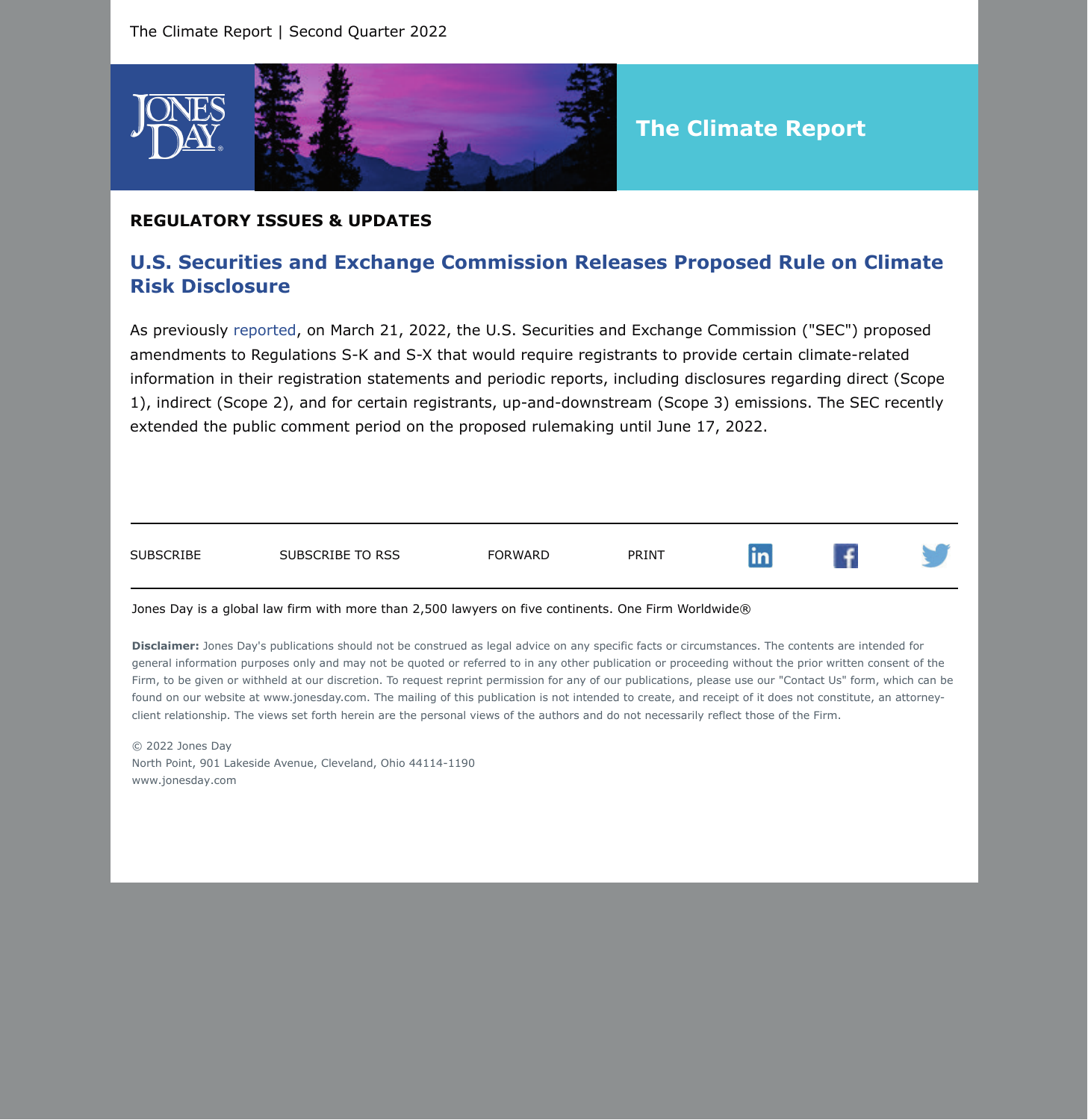

### **REGULATORY ISSUES & UPDATES**

## **U.S. Securities and Exchange Commission Releases Proposed Rule on Climate Risk Disclosure**

As previously [reported,](https://jonesday-ecommunications.com/302/7129/march-2022/sec-releases-proposed-rule-climate-risk.asp?sid=a2c5520e-24a1-4381-b4b8-79efe410c683&ExcludePageBreak=true) on March 21, 2022, the U.S. Securities and Exchange Commission ("SEC") proposed amendments to Regulations S-K and S-X that would require registrants to provide certain climate-related information in their registration statements and periodic reports, including disclosures regarding direct (Scope 1), indirect (Scope 2), and for certain registrants, up-and-downstream (Scope 3) emissions. The SEC recently extended the public comment period on the proposed rulemaking until June 17, 2022.



#### Jones Day is a global law firm with more than 2,500 lawyers on five continents. One Firm Worldwide®

**Disclaimer:** Jones Day's publications should not be construed as legal advice on any specific facts or circumstances. The contents are intended for general information purposes only and may not be quoted or referred to in any other publication or proceeding without the prior written consent of the Firm, to be given or withheld at our discretion. To request reprint permission for any of our publications, please use our "Contact Us" form, which can be found on our website at www.jonesday.com. The mailing of this publication is not intended to create, and receipt of it does not constitute, an attorneyclient relationship. The views set forth herein are the personal views of the authors and do not necessarily reflect those of the Firm.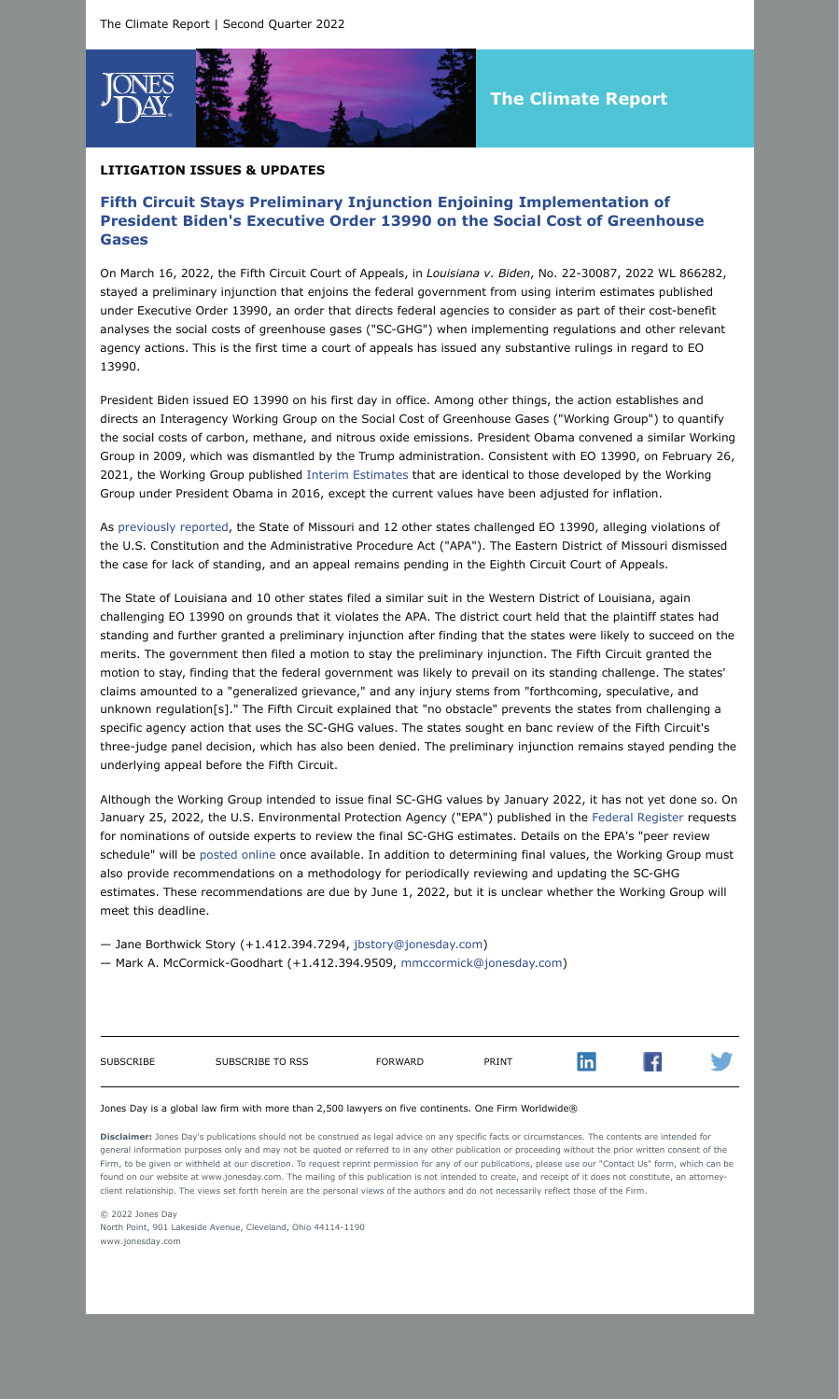

## **LITIGATION ISSUES & UPDATES**

# **Fifth Circuit Stays Preliminary Injunction Enjoining Implementation of President Biden's Executive Order 13990 on the Social Cost of Greenhouse Gases**

On March 16, 2022, the Fifth Circuit Court of Appeals, in *Louisiana v. Biden*, No. 22-30087, 2022 WL 866282, stayed a preliminary injunction that enjoins the federal government from using interim estimates published under Executive Order 13990, an order that directs federal agencies to consider as part of their cost-benefit analyses the social costs of greenhouse gases ("SC-GHG") when implementing regulations and other relevant agency actions. This is the first time a court of appeals has issued any substantive rulings in regard to EO 13990.

President Biden issued EO 13990 on his first day in office. Among other things, the action establishes and directs an Interagency Working Group on the Social Cost of Greenhouse Gases ("Working Group") to quantify the social costs of carbon, methane, and nitrous oxide emissions. President Obama convened a similar Working Group in 2009, which was dismantled by the Trump administration. Consistent with EO 13990, on February 26, 2021, the Working Group published [Interim Estimates](https://www.whitehouse.gov/wp-content/uploads/2021/02/TechnicalSupportDocument_SocialCostofCarbonMethaneNitrousOxide.pdf?ExcludePageBreak=true) that are identical to those developed by the Working Group under President Obama in 2016, except the current values have been adjusted for inflation.

As [previously reported,](https://www.jonesday.com/en/insights/2021/11/federal-court-dismisses-states-challenge-to-president-bidens-executive-order-13990-on-the-social-cost-of-greenhouse-gase#:~:text=Share-,Federal~Court~Dismisses~States) the State of Missouri and 12 other states challenged EO 13990, alleging violations of the U.S. Constitution and the Administrative Procedure Act ("APA"). The Eastern District of Missouri dismissed the case for lack of standing, and an appeal remains pending in the Eighth Circuit Court of Appeals.

The State of Louisiana and 10 other states filed a similar suit in the Western District of Louisiana, again challenging EO 13990 on grounds that it violates the APA. The district court held that the plaintiff states had standing and further granted a preliminary injunction after finding that the states were likely to succeed on the merits. The government then filed a motion to stay the preliminary injunction. The Fifth Circuit granted the motion to stay, finding that the federal government was likely to prevail on its standing challenge. The states' claims amounted to a "generalized grievance," and any injury stems from "forthcoming, speculative, and unknown regulation[s]." The Fifth Circuit explained that "no obstacle" prevents the states from challenging a specific agency action that uses the SC-GHG values. The states sought en banc review of the Fifth Circuit's three-judge panel decision, which has also been denied. The preliminary injunction remains stayed pending the underlying appeal before the Fifth Circuit.

Although the Working Group intended to issue final SC-GHG values by January 2022, it has not yet done so. On January 25, 2022, the U.S. Environmental Protection Agency ("EPA") published in the [Federal Register](https://www.govinfo.gov/content/pkg/FR-2022-01-25/pdf/2022-01387.pdf?ExcludePageBreak=true) requests for nominations of outside experts to review the final SC-GHG estimates. Details on the EPA's "peer review schedule" will be [posted online](https://www.epa.gov/environmental-economics/scghg-tsd-peer-review?ExcludePageBreak=true) once available. In addition to determining final values, the Working Group must also provide recommendations on a methodology for periodically reviewing and updating the SC-GHG estimates. These recommendations are due by June 1, 2022, but it is unclear whether the Working Group will meet this deadline.

— Jane Borthwick Story (+1.412.394.7294, [jbstory@jonesday.com](mailto:jbstory@jonesday.com))

— Mark A. McCormick-Goodhart (+1.412.394.9509, [mmccormick@jonesday.com](mailto:mmccormick@jonesday.com))

| <b>SUBSCRIBE</b> | SUBSCRIBE TO RSS | <b>FORWARD</b> | PRINT |  |  |
|------------------|------------------|----------------|-------|--|--|
|                  |                  |                |       |  |  |

#### Jones Day is a global law firm with more than 2,500 lawyers on five continents. One Firm Worldwide®

**Disclaimer:** Jones Day's publications should not be construed as legal advice on any specific facts or circumstances. The contents are intended for general information purposes only and may not be quoted or referred to in any other publication or proceeding without the prior written consent of the Firm, to be given or withheld at our discretion. To request reprint permission for any of our publications, please use our "Contact Us" form, which can be found on our website at www.jonesday.com. The mailing of this publication is not intended to create, and receipt of it does not constitute, an attorneyclient relationship. The views set forth herein are the personal views of the authors and do not necessarily reflect those of the Firm.

© 2022 Jones Day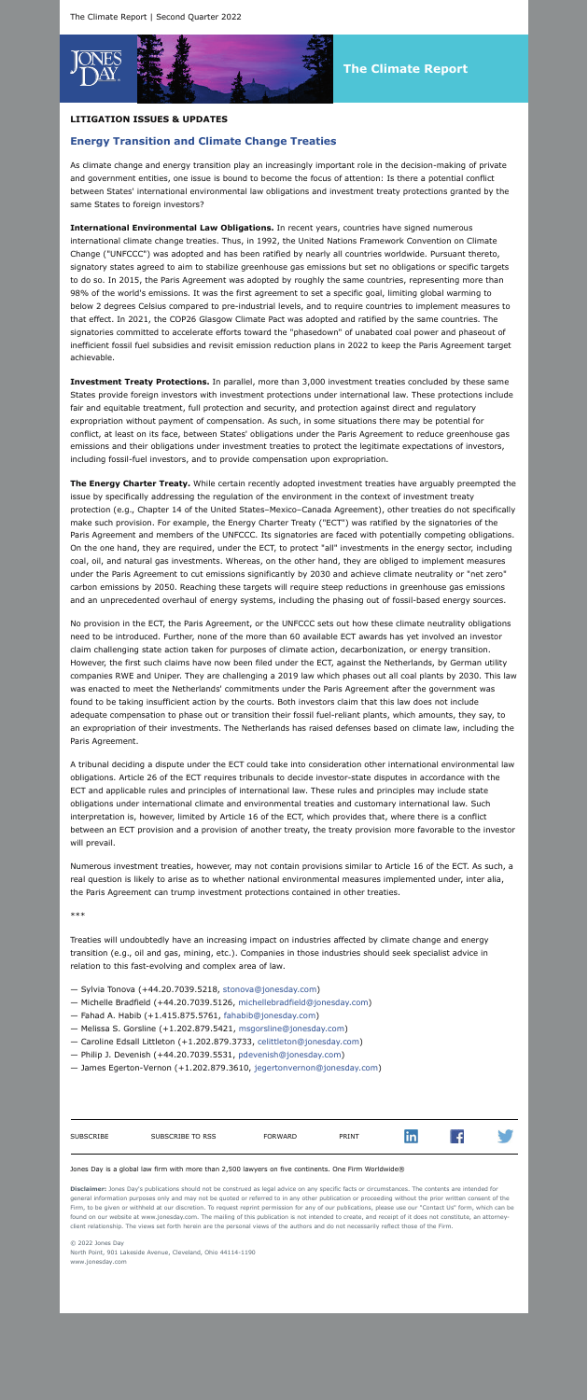

# **The Climate Report**

## **LITIGATION ISSUES & UPDATES**

# **Energy Transition and Climate Change Treaties**

As climate change and energy transition play an increasingly important role in the decision-making of private and government entities, one issue is bound to become the focus of attention: Is there a potential conflict between States' international environmental law obligations and investment treaty protections granted by the same States to foreign investors?

**International Environmental Law Obligations.** In recent years, countries have signed numerous international climate change treaties. Thus, in 1992, the United Nations Framework Convention on Climate Change ("UNFCCC") was adopted and has been ratified by nearly all countries worldwide. Pursuant thereto, signatory states agreed to aim to stabilize greenhouse gas emissions but set no obligations or specific targets to do so. In 2015, the Paris Agreement was adopted by roughly the same countries, representing more than 98% of the world's emissions. It was the first agreement to set a specific goal, limiting global warming to below 2 degrees Celsius compared to pre-industrial levels, and to require countries to implement measures to that effect. In 2021, the COP26 Glasgow Climate Pact was adopted and ratified by the same countries. The signatories committed to accelerate efforts toward the "phasedown" of unabated coal power and phaseout of inefficient fossil fuel subsidies and revisit emission reduction plans in 2022 to keep the Paris Agreement target achievable.

**Investment Treaty Protections.** In parallel, more than 3,000 investment treaties concluded by these same States provide foreign investors with investment protections under international law. These protections include fair and equitable treatment, full protection and security, and protection against direct and regulatory expropriation without payment of compensation. As such, in some situations there may be potential for conflict, at least on its face, between States' obligations under the Paris Agreement to reduce greenhouse gas emissions and their obligations under investment treaties to protect the legitimate expectations of investors, including fossil-fuel investors, and to provide compensation upon expropriation.

**The Energy Charter Treaty.** While certain recently adopted investment treaties have arguably preempted the issue by specifically addressing the regulation of the environment in the context of investment treaty protection (e.g., Chapter 14 of the United States–Mexico–Canada Agreement), other treaties do not specifically make such provision. For example, the Energy Charter Treaty ("ECT") was ratified by the signatories of the Paris Agreement and members of the UNFCCC. Its signatories are faced with potentially competing obligations. On the one hand, they are required, under the ECT, to protect "all" investments in the energy sector, including coal, oil, and natural gas investments. Whereas, on the other hand, they are obliged to implement measures under the Paris Agreement to cut emissions significantly by 2030 and achieve climate neutrality or "net zero" carbon emissions by 2050. Reaching these targets will require steep reductions in greenhouse gas emissions and an unprecedented overhaul of energy systems, including the phasing out of fossil-based energy sources.

No provision in the ECT, the Paris Agreement, or the UNFCCC sets out how these climate neutrality obligations need to be introduced. Further, none of the more than 60 available ECT awards has yet involved an investor claim challenging state action taken for purposes of climate action, decarbonization, or energy transition. However, the first such claims have now been filed under the ECT, against the Netherlands, by German utility companies RWE and Uniper. They are challenging a 2019 law which phases out all coal plants by 2030. This law was enacted to meet the Netherlands' commitments under the Paris Agreement after the government was found to be taking insufficient action by the courts. Both investors claim that this law does not include adequate compensation to phase out or transition their fossil fuel-reliant plants, which amounts, they say, to an expropriation of their investments. The Netherlands has raised defenses based on climate law, including the Paris Agreement.

A tribunal deciding a dispute under the ECT could take into consideration other international environmental law obligations. Article 26 of the ECT requires tribunals to decide investor-state disputes in accordance with the ECT and applicable rules and principles of international law. These rules and principles may include state obligations under international climate and environmental treaties and customary international law. Such interpretation is, however, limited by Article 16 of the ECT, which provides that, where there is a conflict between an ECT provision and a provision of another treaty, the treaty provision more favorable to the investor will prevail.

Numerous investment treaties, however, may not contain provisions similar to Article 16 of the ECT. As such, a real question is likely to arise as to whether national environmental measures implemented under, inter alia, the Paris Agreement can trump investment protections contained in other treaties.

\*\*\*

Treaties will undoubtedly have an increasing impact on industries affected by climate change and energy transition (e.g., oil and gas, mining, etc.). Companies in those industries should seek specialist advice in relation to this fast-evolving and complex area of law.

- Sylvia Tonova (+44.20.7039.5218, [stonova@jonesday.com\)](mailto:stonova@jonesday.com)
- Michelle Bradfield (+44.20.7039.5126, [michellebradfield@jonesday.com\)](mailto:michellebradfield@jonesday.com)
- Fahad A. Habib (+1.415.875.5761, [fahabib@jonesday.com\)](mailto:fahabib@jonesday.com)
- Melissa S. Gorsline (+1.202.879.5421, [msgorsline@jonesday.com\)](mailto:msgorsline@jonesday.com)
- Caroline Edsall Littleton (+1.202.879.3733, [celittleton@jonesday.com](mailto:celittleton@jonesday.com))
- Philip J. Devenish (+44.20.7039.5531, [pdevenish@jonesday.com](mailto:pdevenish@jonesday.com))
- James Egerton-Vernon (+1.202.879.3610, [jegertonvernon@jonesday.com\)](mailto:jegertonvernon@jonesday.com)

| SUBSCRIBE | SUBSCRIBE TO RSS | <b>FORWARD</b> | PRINT |  |  |
|-----------|------------------|----------------|-------|--|--|
|           |                  |                |       |  |  |

#### Jones Day is a global law firm with more than 2,500 lawyers on five continents. One Firm Worldwide®

**Disclaimer:** Jones Day's publications should not be construed as legal advice on any specific facts or circumstances. The contents are intended for general information purposes only and may not be quoted or referred to in any other publication or proceeding without the prior written consent of the Firm, to be given or withheld at our discretion. To request reprint permission for any of our publications, please use our "Contact Us" form, which can be found on our website at www.jonesday.com. The mailing of this publication is not intended to create, and receipt of it does not constitute, an attorneyclient relationship. The views set forth herein are the personal views of the authors and do not necessarily reflect those of the Firm.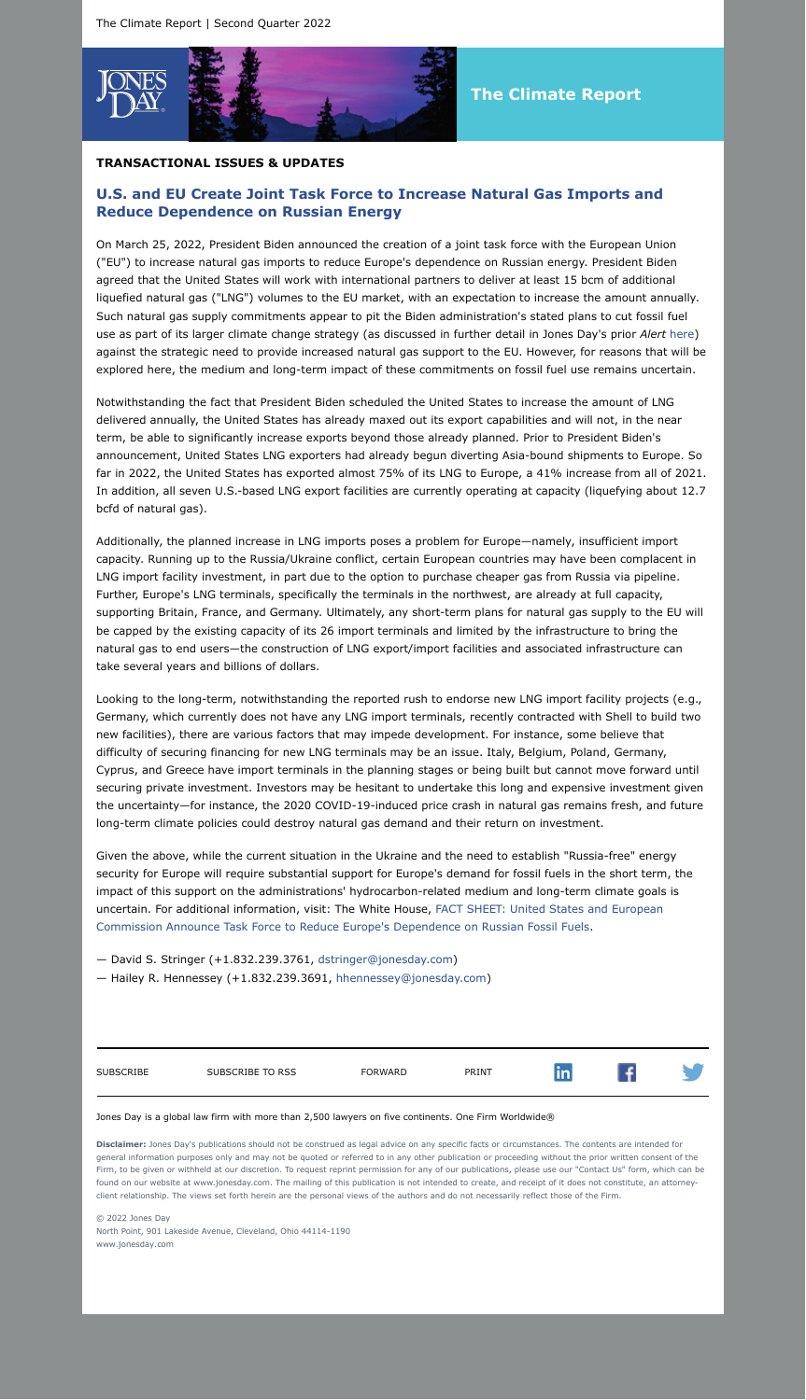

# **The Climate Report**

### **TRANSACTIONAL ISSUES & UPDATES**

# **U.S. and EU Create Joint Task Force to Increase Natural Gas Imports and Reduce Dependence on Russian Energy**

On March 25, 2022, President Biden announced the creation of a joint task force with the European Union ("EU") to increase natural gas imports to reduce Europe's dependence on Russian energy. President Biden agreed that the United States will work with international partners to deliver at least 15 bcm of additional liquefied natural gas ("LNG") volumes to the EU market, with an expectation to increase the amount annually. Such natural gas supply commitments appear to pit the Biden administration's stated plans to cut fossil fuel use as part of its larger climate change strategy (as discussed in further detail in Jones Day's prior *Alert* [here\)](https://www.jonesday.com/en/insights/2021/02/biden-administration-takes-early-action-on-climate-change?ExcludePageBreak=true) against the strategic need to provide increased natural gas support to the EU. However, for reasons that will be explored here, the medium and long-term impact of these commitments on fossil fuel use remains uncertain.

Notwithstanding the fact that President Biden scheduled the United States to increase the amount of LNG delivered annually, the United States has already maxed out its export capabilities and will not, in the near term, be able to significantly increase exports beyond those already planned. Prior to President Biden's announcement, United States LNG exporters had already begun diverting Asia-bound shipments to Europe. So far in 2022, the United States has exported almost 75% of its LNG to Europe, a 41% increase from all of 2021. In addition, all seven U.S.-based LNG export facilities are currently operating at capacity (liquefying about 12.7 bcfd of natural gas).

Additionally, the planned increase in LNG imports poses a problem for Europe—namely, insufficient import capacity. Running up to the Russia/Ukraine conflict, certain European countries may have been complacent in LNG import facility investment, in part due to the option to purchase cheaper gas from Russia via pipeline. Further, Europe's LNG terminals, specifically the terminals in the northwest, are already at full capacity, supporting Britain, France, and Germany. Ultimately, any short-term plans for natural gas supply to the EU will be capped by the existing capacity of its 26 import terminals and limited by the infrastructure to bring the natural gas to end users—the construction of LNG export/import facilities and associated infrastructure can take several years and billions of dollars.

Looking to the long-term, notwithstanding the reported rush to endorse new LNG import facility projects (e.g., Germany, which currently does not have any LNG import terminals, recently contracted with Shell to build two new facilities), there are various factors that may impede development. For instance, some believe that difficulty of securing financing for new LNG terminals may be an issue. Italy, Belgium, Poland, Germany, Cyprus, and Greece have import terminals in the planning stages or being built but cannot move forward until securing private investment. Investors may be hesitant to undertake this long and expensive investment given the uncertainty—for instance, the 2020 COVID-19-induced price crash in natural gas remains fresh, and future long-term climate policies could destroy natural gas demand and their return on investment.

Given the above, while the current situation in the Ukraine and the need to establish "Russia-free" energy security for Europe will require substantial support for Europe's demand for fossil fuels in the short term, the impact of this support on the administrations' hydrocarbon-related medium and long-term climate goals is [uncertain. For additional information, visit: The White House, FACT SHEET: United States and European](https://www.whitehouse.gov/briefing-room/statements-releases/2022/03/25/fact-sheet-united-states-and-european-commission-announce-task-force-to-reduce-europes-dependence-on-russian-fossil-fuels/?ExcludePageBreak=true) Commission Announce Task Force to Reduce Europe's Dependence on Russian Fossil Fuels.

— David S. Stringer (+1.832.239.3761, [dstringer@jonesday.com](mailto:dstringer@jonesday.com))

— Hailey R. Hennessey (+1.832.239.3691, [hhennessey@jonesday.com\)](mailto:hhennessey@jonesday.com)

| <b>SUBSCRIBE</b> | SUBSCRIBE TO RSS | FORWARD | PRINT | m |  |
|------------------|------------------|---------|-------|---|--|
|                  |                  |         |       |   |  |

#### Jones Day is a global law firm with more than 2,500 lawyers on five continents. One Firm Worldwide®

**Disclaimer:** Jones Day's publications should not be construed as legal advice on any specific facts or circumstances. The contents are intended for general information purposes only and may not be quoted or referred to in any other publication or proceeding without the prior written consent of the Firm, to be given or withheld at our discretion. To request reprint permission for any of our publications, please use our "Contact Us" form, which can be on our website at www.jonesday.com. The mailing of this publication is not intended to create, and receipt of it does not constitute, an attorney client relationship. The views set forth herein are the personal views of the authors and do not necessarily reflect those of the Firm.

© 2022 Jones Day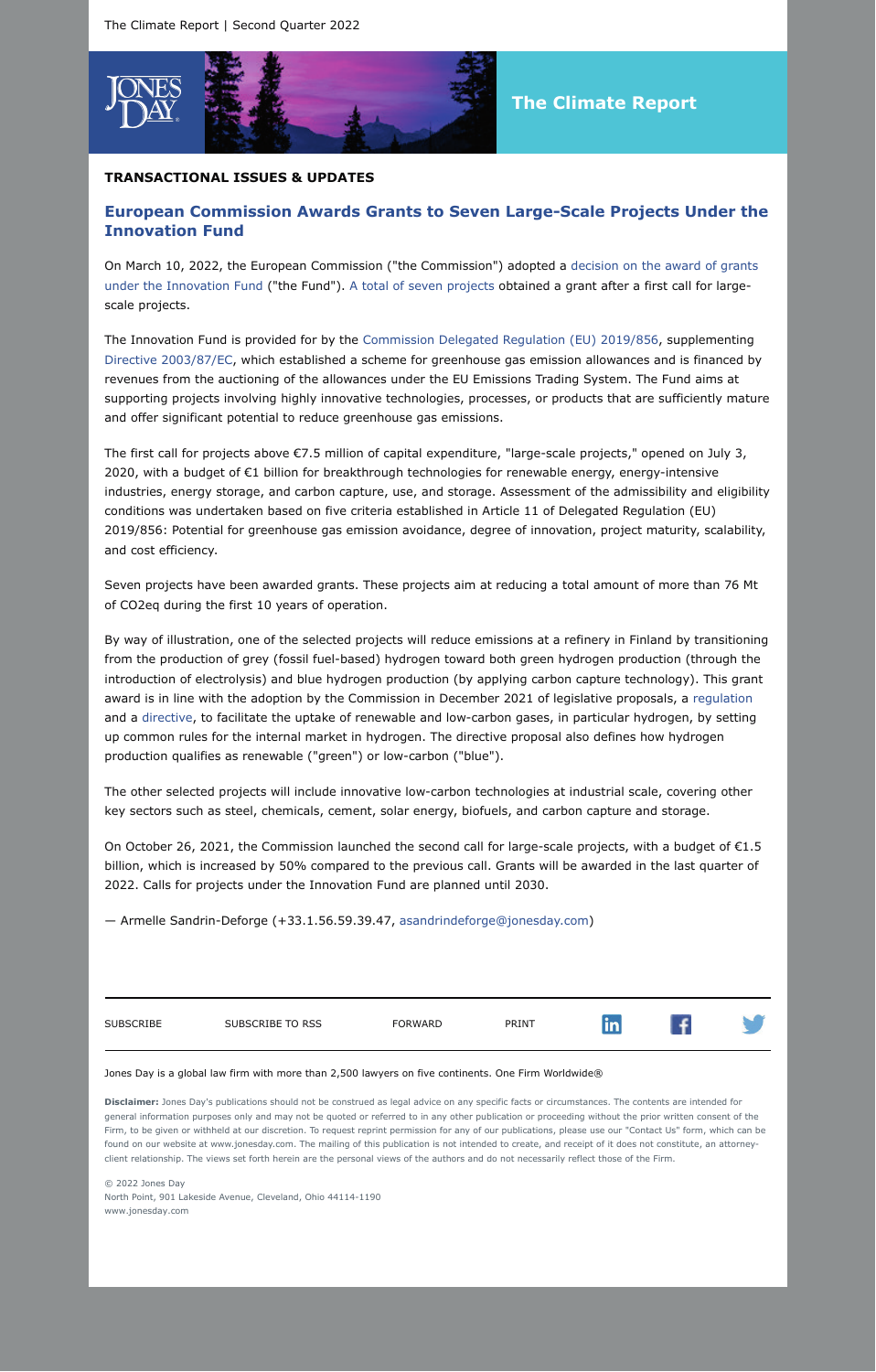

# **The Climate Report**

### **TRANSACTIONAL ISSUES & UPDATES**

# **European Commission Awards Grants to Seven Large-Scale Projects Under the Innovation Fund**

On March 10, 2022, the European Commission ("the [Commission"\) adopted a decision on the award of grants](https://ec.europa.eu/clima/system/files/2022-03/c_2022_1571_en.pdf?ExcludePageBreak=true) under the Innovation Fund ("the Fund"). [A total of seven projects](https://ec.europa.eu/clima/system/files/2022-03/c_2022_1571_annex_en.pdf?ExcludePageBreak=true) obtained a grant after a first call for largescale projects.

The Innovation Fund is provided for by the [Commission Delegated Regulation \(EU\) 2019/856](https://eur-lex.europa.eu/legal-content/EN/TXT/?uri=CELEX:02019R0856-20210811&ExcludePageBreak=true), supplementing [Directive 2003/87/EC,](https://eur-lex.europa.eu/legal-content/EN/TXT/HTML/?uri=CELEX:32003L0087&from=FR&ExcludePageBreak=true) which established a scheme for greenhouse gas emission allowances and is financed by revenues from the auctioning of the allowances under the EU Emissions Trading System. The Fund aims at supporting projects involving highly innovative technologies, processes, or products that are sufficiently mature and offer significant potential to reduce greenhouse gas emissions.

The first call for projects above €7.5 million of capital expenditure, "large-scale projects," opened on July 3, 2020, with a budget of €1 billion for breakthrough technologies for renewable energy, energy-intensive industries, energy storage, and carbon capture, use, and storage. Assessment of the admissibility and eligibility conditions was undertaken based on five criteria established in Article 11 of Delegated Regulation (EU) 2019/856: Potential for greenhouse gas emission avoidance, degree of innovation, project maturity, scalability, and cost efficiency.

Seven projects have been awarded grants. These projects aim at reducing a total amount of more than 76 Mt of CO2eq during the first 10 years of operation.

By way of illustration, one of the selected projects will reduce emissions at a refinery in Finland by transitioning from the production of grey (fossil fuel-based) hydrogen toward both green hydrogen production (through the introduction of electrolysis) and blue hydrogen production (by applying carbon capture technology). This grant award is in line with the adoption by the Commission in December 2021 of legislative proposals, a [regulation](https://eur-lex.europa.eu/legal-content/EN/TXT/?uri=COM:2021:804:FIN&qid=1640001545187&ExcludePageBreak=true) and a [directive,](https://eur-lex.europa.eu/legal-content/EN/TXT/?uri=CELEX:52021PC0803&qid=1640002501099&ExcludePageBreak=true) to facilitate the uptake of renewable and low-carbon gases, in particular hydrogen, by setting up common rules for the internal market in hydrogen. The directive proposal also defines how hydrogen production qualifies as renewable ("green") or low-carbon ("blue").

The other selected projects will include innovative low-carbon technologies at industrial scale, covering other key sectors such as steel, chemicals, cement, solar energy, biofuels, and carbon capture and storage.

On October 26, 2021, the Commission launched the second call for large-scale projects, with a budget of €1.5 billion, which is increased by 50% compared to the previous call. Grants will be awarded in the last quarter of 2022. Calls for projects under the Innovation Fund are planned until 2030.

— Armelle Sandrin-Deforge (+33.1.56.59.39.47, [asandrindeforge@jonesday.com\)](mailto:asandrindeforge@jonesday.com)

| <b>SUBSCRIBE</b><br>SUBSCRIBE TO RSS<br>PRINT<br><b>FORWARD</b> |  |
|-----------------------------------------------------------------|--|
|-----------------------------------------------------------------|--|

#### Jones Day is a global law firm with more than 2,500 lawyers on five continents. One Firm Worldwide®

**Disclaimer:** Jones Day's publications should not be construed as legal advice on any specific facts or circumstances. The contents are intended for general information purposes only and may not be quoted or referred to in any other publication or proceeding without the prior written consent of the Firm, to be given or withheld at our discretion. To request reprint permission for any of our publications, please use our "Contact Us" form, which can be found on our website at www.jonesday.com. The mailing of this publication is not intended to create, and receipt of it does not constitute, an attorneyclient relationship. The views set forth herein are the personal views of the authors and do not necessarily reflect those of the Firm.